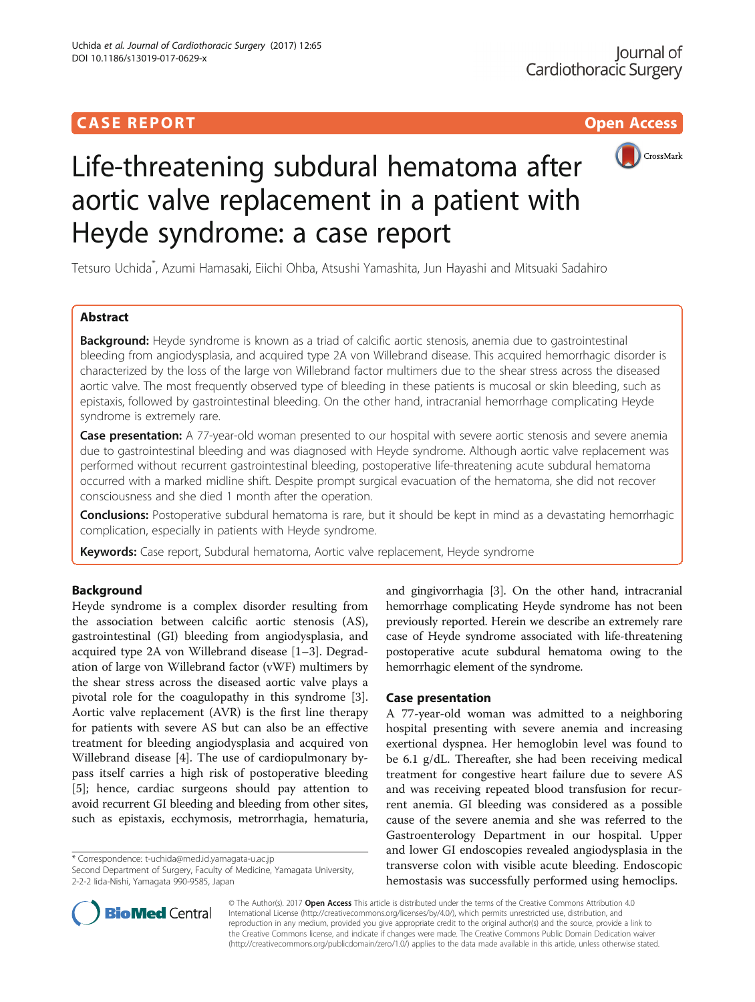# **CASE REPORT CASE REPORT** And the contract of the contract of the contract of the contract of the contract of the contract of the contract of the contract of the contract of the contract of the contract of the contract of



# Life-threatening subdural hematoma after aortic valve replacement in a patient with Heyde syndrome: a case report

Tetsuro Uchida\* , Azumi Hamasaki, Eiichi Ohba, Atsushi Yamashita, Jun Hayashi and Mitsuaki Sadahiro

## Abstract

Background: Heyde syndrome is known as a triad of calcific aortic stenosis, anemia due to gastrointestinal bleeding from angiodysplasia, and acquired type 2A von Willebrand disease. This acquired hemorrhagic disorder is characterized by the loss of the large von Willebrand factor multimers due to the shear stress across the diseased aortic valve. The most frequently observed type of bleeding in these patients is mucosal or skin bleeding, such as epistaxis, followed by gastrointestinal bleeding. On the other hand, intracranial hemorrhage complicating Heyde syndrome is extremely rare.

Case presentation: A 77-year-old woman presented to our hospital with severe aortic stenosis and severe anemia due to gastrointestinal bleeding and was diagnosed with Heyde syndrome. Although aortic valve replacement was performed without recurrent gastrointestinal bleeding, postoperative life-threatening acute subdural hematoma occurred with a marked midline shift. Despite prompt surgical evacuation of the hematoma, she did not recover consciousness and she died 1 month after the operation.

**Conclusions:** Postoperative subdural hematoma is rare, but it should be kept in mind as a devastating hemorrhagic complication, especially in patients with Heyde syndrome.

Keywords: Case report, Subdural hematoma, Aortic valve replacement, Heyde syndrome

## Background

Heyde syndrome is a complex disorder resulting from the association between calcific aortic stenosis (AS), gastrointestinal (GI) bleeding from angiodysplasia, and acquired type 2A von Willebrand disease [\[1](#page-2-0)–[3\]](#page-2-0). Degradation of large von Willebrand factor (vWF) multimers by the shear stress across the diseased aortic valve plays a pivotal role for the coagulopathy in this syndrome [\[3](#page-2-0)]. Aortic valve replacement (AVR) is the first line therapy for patients with severe AS but can also be an effective treatment for bleeding angiodysplasia and acquired von Willebrand disease [[4\]](#page-2-0). The use of cardiopulmonary bypass itself carries a high risk of postoperative bleeding [[5\]](#page-2-0); hence, cardiac surgeons should pay attention to avoid recurrent GI bleeding and bleeding from other sites, such as epistaxis, ecchymosis, metrorrhagia, hematuria,

\* Correspondence: [t-uchida@med.id.yamagata-u.ac.jp](mailto:t-uchida@med.id.yamagata-u.ac.jp)

Second Department of Surgery, Faculty of Medicine, Yamagata University, 2-2-2 Iida-Nishi, Yamagata 990-9585, Japan



## Case presentation

A 77-year-old woman was admitted to a neighboring hospital presenting with severe anemia and increasing exertional dyspnea. Her hemoglobin level was found to be 6.1 g/dL. Thereafter, she had been receiving medical treatment for congestive heart failure due to severe AS and was receiving repeated blood transfusion for recurrent anemia. GI bleeding was considered as a possible cause of the severe anemia and she was referred to the Gastroenterology Department in our hospital. Upper and lower GI endoscopies revealed angiodysplasia in the transverse colon with visible acute bleeding. Endoscopic hemostasis was successfully performed using hemoclips.



© The Author(s). 2017 Open Access This article is distributed under the terms of the Creative Commons Attribution 4.0 International License [\(http://creativecommons.org/licenses/by/4.0/](http://creativecommons.org/licenses/by/4.0/)), which permits unrestricted use, distribution, and reproduction in any medium, provided you give appropriate credit to the original author(s) and the source, provide a link to the Creative Commons license, and indicate if changes were made. The Creative Commons Public Domain Dedication waiver [\(http://creativecommons.org/publicdomain/zero/1.0/](http://creativecommons.org/publicdomain/zero/1.0/)) applies to the data made available in this article, unless otherwise stated.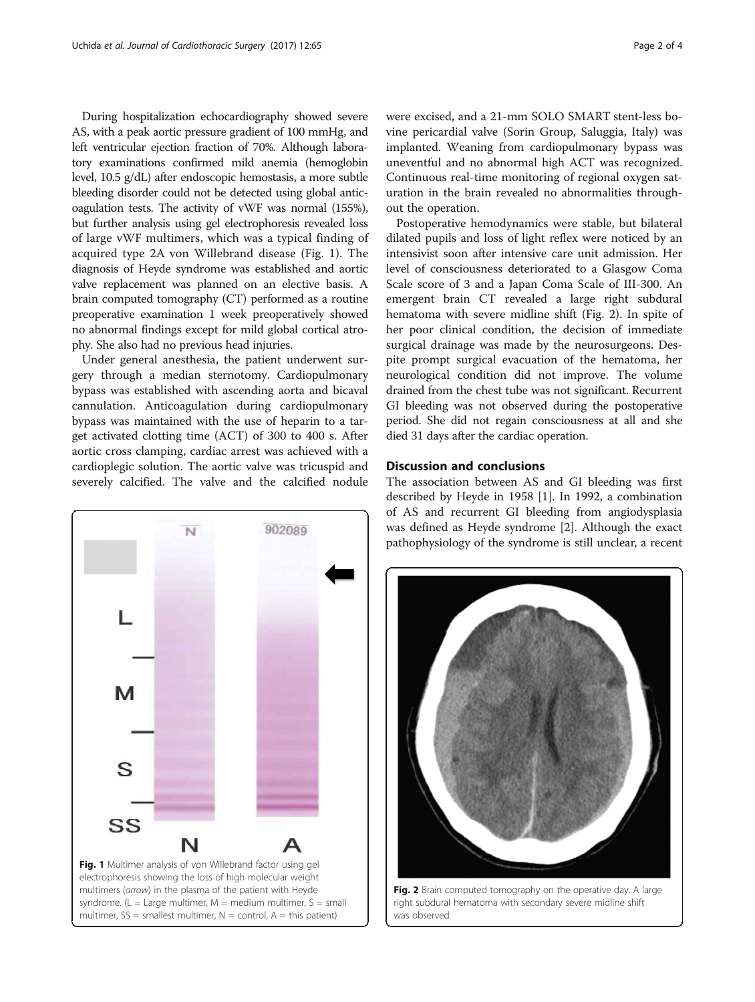During hospitalization echocardiography showed severe AS, with a peak aortic pressure gradient of 100 mmHg, and left ventricular ejection fraction of 70%. Although laboratory examinations confirmed mild anemia (hemoglobin level, 10.5 g/dL) after endoscopic hemostasis, a more subtle bleeding disorder could not be detected using global anticoagulation tests. The activity of vWF was normal (155%), but further analysis using gel electrophoresis revealed loss of large vWF multimers, which was a typical finding of acquired type 2A von Willebrand disease (Fig. 1). The diagnosis of Heyde syndrome was established and aortic valve replacement was planned on an elective basis. A brain computed tomography (CT) performed as a routine preoperative examination 1 week preoperatively showed no abnormal findings except for mild global cortical atrophy. She also had no previous head injuries.

Under general anesthesia, the patient underwent surgery through a median sternotomy. Cardiopulmonary bypass was established with ascending aorta and bicaval cannulation. Anticoagulation during cardiopulmonary bypass was maintained with the use of heparin to a target activated clotting time (ACT) of 300 to 400 s. After aortic cross clamping, cardiac arrest was achieved with a cardioplegic solution. The aortic valve was tricuspid and severely calcified. The valve and the calcified nodule



were excised, and a 21-mm SOLO SMART stent-less bovine pericardial valve (Sorin Group, Saluggia, Italy) was implanted. Weaning from cardiopulmonary bypass was uneventful and no abnormal high ACT was recognized. Continuous real-time monitoring of regional oxygen saturation in the brain revealed no abnormalities throughout the operation.

Postoperative hemodynamics were stable, but bilateral dilated pupils and loss of light reflex were noticed by an intensivist soon after intensive care unit admission. Her level of consciousness deteriorated to a Glasgow Coma Scale score of 3 and a Japan Coma Scale of III-300. An emergent brain CT revealed a large right subdural hematoma with severe midline shift (Fig. 2). In spite of her poor clinical condition, the decision of immediate surgical drainage was made by the neurosurgeons. Despite prompt surgical evacuation of the hematoma, her neurological condition did not improve. The volume drained from the chest tube was not significant. Recurrent GI bleeding was not observed during the postoperative period. She did not regain consciousness at all and she died 31 days after the cardiac operation.

## Discussion and conclusions

The association between AS and GI bleeding was first described by Heyde in 1958 [[1\]](#page-2-0). In 1992, a combination of AS and recurrent GI bleeding from angiodysplasia was defined as Heyde syndrome [\[2](#page-2-0)]. Although the exact pathophysiology of the syndrome is still unclear, a recent



right subdural hematoma with secondary severe midline shift was observed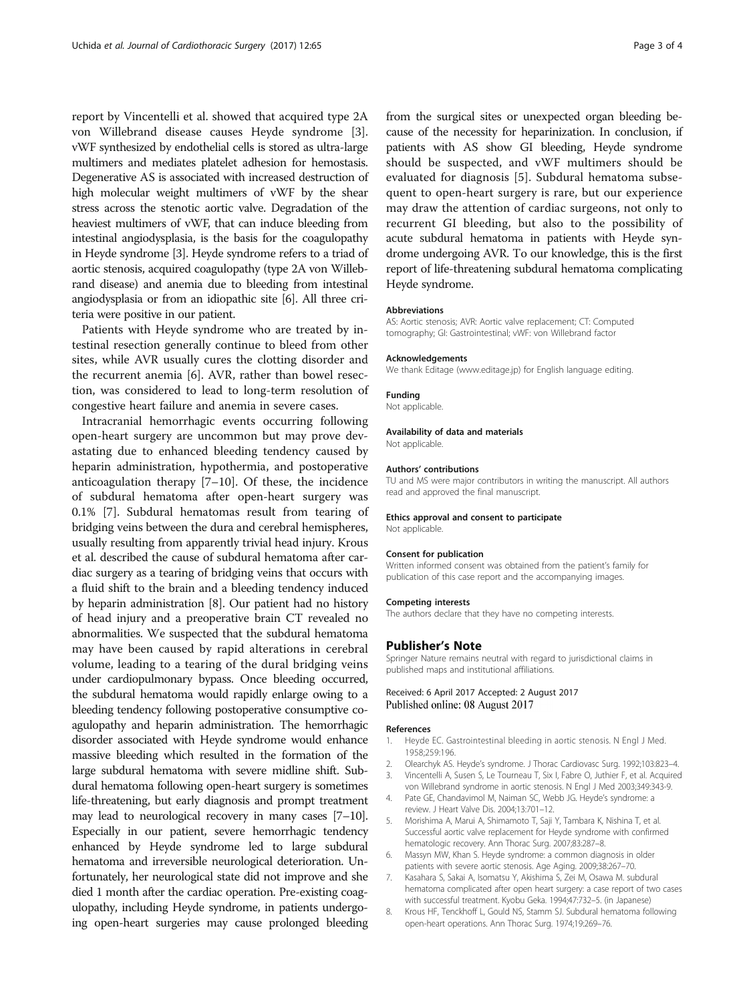<span id="page-2-0"></span>report by Vincentelli et al. showed that acquired type 2A von Willebrand disease causes Heyde syndrome [3]. vWF synthesized by endothelial cells is stored as ultra-large multimers and mediates platelet adhesion for hemostasis. Degenerative AS is associated with increased destruction of high molecular weight multimers of vWF by the shear stress across the stenotic aortic valve. Degradation of the heaviest multimers of vWF, that can induce bleeding from intestinal angiodysplasia, is the basis for the coagulopathy in Heyde syndrome [3]. Heyde syndrome refers to a triad of aortic stenosis, acquired coagulopathy (type 2A von Willebrand disease) and anemia due to bleeding from intestinal angiodysplasia or from an idiopathic site [6]. All three criteria were positive in our patient.

Patients with Heyde syndrome who are treated by intestinal resection generally continue to bleed from other sites, while AVR usually cures the clotting disorder and the recurrent anemia [6]. AVR, rather than bowel resection, was considered to lead to long-term resolution of congestive heart failure and anemia in severe cases.

Intracranial hemorrhagic events occurring following open-heart surgery are uncommon but may prove devastating due to enhanced bleeding tendency caused by heparin administration, hypothermia, and postoperative anticoagulation therapy [7–[10](#page-3-0)]. Of these, the incidence of subdural hematoma after open-heart surgery was 0.1% [7]. Subdural hematomas result from tearing of bridging veins between the dura and cerebral hemispheres, usually resulting from apparently trivial head injury. Krous et al. described the cause of subdural hematoma after cardiac surgery as a tearing of bridging veins that occurs with a fluid shift to the brain and a bleeding tendency induced by heparin administration [8]. Our patient had no history of head injury and a preoperative brain CT revealed no abnormalities. We suspected that the subdural hematoma may have been caused by rapid alterations in cerebral volume, leading to a tearing of the dural bridging veins under cardiopulmonary bypass. Once bleeding occurred, the subdural hematoma would rapidly enlarge owing to a bleeding tendency following postoperative consumptive coagulopathy and heparin administration. The hemorrhagic disorder associated with Heyde syndrome would enhance massive bleeding which resulted in the formation of the large subdural hematoma with severe midline shift. Subdural hematoma following open-heart surgery is sometimes life-threatening, but early diagnosis and prompt treatment may lead to neurological recovery in many cases [7–[10](#page-3-0)]. Especially in our patient, severe hemorrhagic tendency enhanced by Heyde syndrome led to large subdural hematoma and irreversible neurological deterioration. Unfortunately, her neurological state did not improve and she died 1 month after the cardiac operation. Pre-existing coagulopathy, including Heyde syndrome, in patients undergoing open-heart surgeries may cause prolonged bleeding from the surgical sites or unexpected organ bleeding because of the necessity for heparinization. In conclusion, if patients with AS show GI bleeding, Heyde syndrome should be suspected, and vWF multimers should be evaluated for diagnosis [5]. Subdural hematoma subsequent to open-heart surgery is rare, but our experience may draw the attention of cardiac surgeons, not only to recurrent GI bleeding, but also to the possibility of acute subdural hematoma in patients with Heyde syndrome undergoing AVR. To our knowledge, this is the first report of life-threatening subdural hematoma complicating Heyde syndrome.

### Abbreviations

AS: Aortic stenosis; AVR: Aortic valve replacement; CT: Computed tomography; GI: Gastrointestinal; vWF: von Willebrand factor

#### Acknowledgements

We thank Editage [\(www.editage.jp](http://www.editage.jp)) for English language editing.

#### Funding

Not applicable.

#### Availability of data and materials

Not applicable.

#### Authors' contributions

TU and MS were major contributors in writing the manuscript. All authors read and approved the final manuscript.

#### Ethics approval and consent to participate

Not applicable.

#### Consent for publication

Written informed consent was obtained from the patient's family for publication of this case report and the accompanying images.

#### Competing interests

The authors declare that they have no competing interests.

#### Publisher's Note

Springer Nature remains neutral with regard to jurisdictional claims in published maps and institutional affiliations.

#### Received: 6 April 2017 Accepted: 2 August 2017 Published online: 08 August 2017

#### References

- 1. Heyde EC. Gastrointestinal bleeding in aortic stenosis. N Engl J Med. 1958;259:196.
- 2. Olearchyk AS. Heyde's syndrome. J Thorac Cardiovasc Surg. 1992;103:823–4.
- 3. Vincentelli A, Susen S, Le Tourneau T, Six I, Fabre O, Juthier F, et al. Acquired von Willebrand syndrome in aortic stenosis. N Engl J Med 2003;349:343-9.
- 4. Pate GE, Chandavimol M, Naiman SC, Webb JG. Heyde's syndrome: a review. J Heart Valve Dis. 2004;13:701–12.
- 5. Morishima A, Marui A, Shimamoto T, Saji Y, Tambara K, Nishina T, et al. Successful aortic valve replacement for Heyde syndrome with confirmed hematologic recovery. Ann Thorac Surg. 2007;83:287–8.
- 6. Massyn MW, Khan S. Heyde syndrome: a common diagnosis in older patients with severe aortic stenosis. Age Aging. 2009;38:267–70.
- 7. Kasahara S, Sakai A, Isomatsu Y, Akishima S, Zei M, Osawa M. subdural hematoma complicated after open heart surgery: a case report of two cases with successful treatment. Kyobu Geka. 1994;47:732–5. (in Japanese)
- 8. Krous HF, Tenckhoff L, Gould NS, Stamm SJ. Subdural hematoma following open-heart operations. Ann Thorac Surg. 1974;19:269–76.